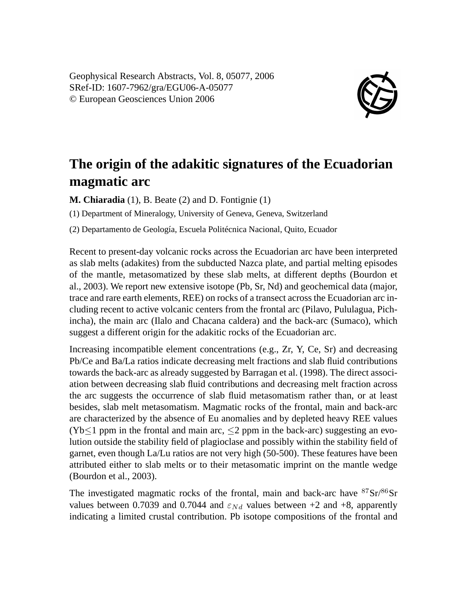Geophysical Research Abstracts, Vol. 8, 05077, 2006 SRef-ID: 1607-7962/gra/EGU06-A-05077 © European Geosciences Union 2006



## **The origin of the adakitic signatures of the Ecuadorian magmatic arc**

**M. Chiaradia** (1), B. Beate (2) and D. Fontignie (1)

(1) Department of Mineralogy, University of Geneva, Geneva, Switzerland

(2) Departamento de Geología, Escuela Politécnica Nacional, Quito, Ecuador

Recent to present-day volcanic rocks across the Ecuadorian arc have been interpreted as slab melts (adakites) from the subducted Nazca plate, and partial melting episodes of the mantle, metasomatized by these slab melts, at different depths (Bourdon et al., 2003). We report new extensive isotope (Pb, Sr, Nd) and geochemical data (major, trace and rare earth elements, REE) on rocks of a transect across the Ecuadorian arc including recent to active volcanic centers from the frontal arc (Pilavo, Pululagua, Pichincha), the main arc (Ilalo and Chacana caldera) and the back-arc (Sumaco), which suggest a different origin for the adakitic rocks of the Ecuadorian arc.

Increasing incompatible element concentrations (e.g., Zr, Y, Ce, Sr) and decreasing Pb/Ce and Ba/La ratios indicate decreasing melt fractions and slab fluid contributions towards the back-arc as already suggested by Barragan et al. (1998). The direct association between decreasing slab fluid contributions and decreasing melt fraction across the arc suggests the occurrence of slab fluid metasomatism rather than, or at least besides, slab melt metasomatism. Magmatic rocks of the frontal, main and back-arc are characterized by the absence of Eu anomalies and by depleted heavy REE values  $(Yb<1$  ppm in the frontal and main arc,  $\leq$  2 ppm in the back-arc) suggesting an evolution outside the stability field of plagioclase and possibly within the stability field of garnet, even though La/Lu ratios are not very high (50-500). These features have been attributed either to slab melts or to their metasomatic imprint on the mantle wedge (Bourdon et al., 2003).

The investigated magmatic rocks of the frontal, main and back-arc have <sup>87</sup>Sr/86Sr values between 0.7039 and 0.7044 and  $\varepsilon_{Nd}$  values between +2 and +8, apparently indicating a limited crustal contribution. Pb isotope compositions of the frontal and